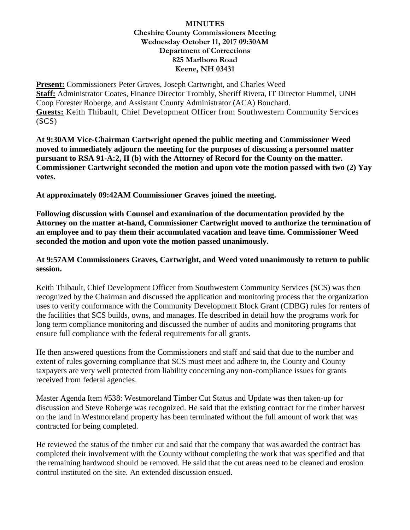**Present:** Commissioners Peter Graves, Joseph Cartwright, and Charles Weed **Staff:** Administrator Coates, Finance Director Trombly, Sheriff Rivera, IT Director Hummel, UNH Coop Forester Roberge, and Assistant County Administrator (ACA) Bouchard. **Guests:** Keith Thibault, Chief Development Officer from Southwestern Community Services (SCS)

**At 9:30AM Vice-Chairman Cartwright opened the public meeting and Commissioner Weed moved to immediately adjourn the meeting for the purposes of discussing a personnel matter pursuant to RSA 91-A:2, II (b) with the Attorney of Record for the County on the matter. Commissioner Cartwright seconded the motion and upon vote the motion passed with two (2) Yay votes.**

**At approximately 09:42AM Commissioner Graves joined the meeting.**

**Following discussion with Counsel and examination of the documentation provided by the Attorney on the matter at-hand, Commissioner Cartwright moved to authorize the termination of an employee and to pay them their accumulated vacation and leave time. Commissioner Weed seconded the motion and upon vote the motion passed unanimously.**

### **At 9:57AM Commissioners Graves, Cartwright, and Weed voted unanimously to return to public session.**

Keith Thibault, Chief Development Officer from Southwestern Community Services (SCS) was then recognized by the Chairman and discussed the application and monitoring process that the organization uses to verify conformance with the Community Development Block Grant (CDBG) rules for renters of the facilities that SCS builds, owns, and manages. He described in detail how the programs work for long term compliance monitoring and discussed the number of audits and monitoring programs that ensure full compliance with the federal requirements for all grants.

He then answered questions from the Commissioners and staff and said that due to the number and extent of rules governing compliance that SCS must meet and adhere to, the County and County taxpayers are very well protected from liability concerning any non-compliance issues for grants received from federal agencies.

Master Agenda Item #538: Westmoreland Timber Cut Status and Update was then taken-up for discussion and Steve Roberge was recognized. He said that the existing contract for the timber harvest on the land in Westmoreland property has been terminated without the full amount of work that was contracted for being completed.

He reviewed the status of the timber cut and said that the company that was awarded the contract has completed their involvement with the County without completing the work that was specified and that the remaining hardwood should be removed. He said that the cut areas need to be cleaned and erosion control instituted on the site. An extended discussion ensued.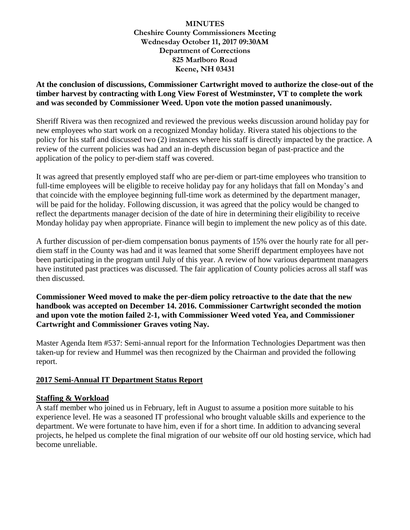# **At the conclusion of discussions, Commissioner Cartwright moved to authorize the close-out of the timber harvest by contracting with Long View Forest of Westminster, VT to complete the work and was seconded by Commissioner Weed. Upon vote the motion passed unanimously.**

Sheriff Rivera was then recognized and reviewed the previous weeks discussion around holiday pay for new employees who start work on a recognized Monday holiday. Rivera stated his objections to the policy for his staff and discussed two (2) instances where his staff is directly impacted by the practice. A review of the current policies was had and an in-depth discussion began of past-practice and the application of the policy to per-diem staff was covered.

It was agreed that presently employed staff who are per-diem or part-time employees who transition to full-time employees will be eligible to receive holiday pay for any holidays that fall on Monday's and that coincide with the employee beginning full-time work as determined by the department manager, will be paid for the holiday. Following discussion, it was agreed that the policy would be changed to reflect the departments manager decision of the date of hire in determining their eligibility to receive Monday holiday pay when appropriate. Finance will begin to implement the new policy as of this date.

A further discussion of per-diem compensation bonus payments of 15% over the hourly rate for all perdiem staff in the County was had and it was learned that some Sheriff department employees have not been participating in the program until July of this year. A review of how various department managers have instituted past practices was discussed. The fair application of County policies across all staff was then discussed.

**Commissioner Weed moved to make the per-diem policy retroactive to the date that the new handbook was accepted on December 14. 2016. Commissioner Cartwright seconded the motion and upon vote the motion failed 2-1, with Commissioner Weed voted Yea, and Commissioner Cartwright and Commissioner Graves voting Nay.** 

Master Agenda Item #537: Semi-annual report for the Information Technologies Department was then taken-up for review and Hummel was then recognized by the Chairman and provided the following report.

# **2017 Semi-Annual IT Department Status Report**

# **Staffing & Workload**

A staff member who joined us in February, left in August to assume a position more suitable to his experience level. He was a seasoned IT professional who brought valuable skills and experience to the department. We were fortunate to have him, even if for a short time. In addition to advancing several projects, he helped us complete the final migration of our website off our old hosting service, which had become unreliable.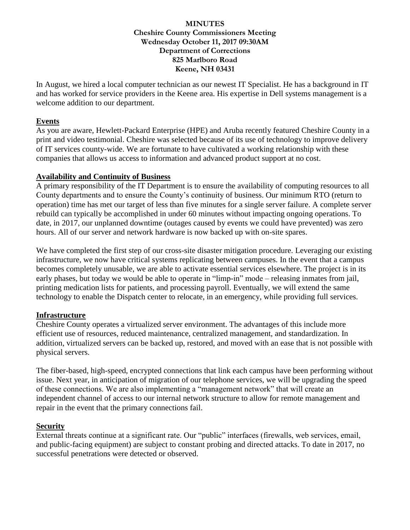In August, we hired a local computer technician as our newest IT Specialist. He has a background in IT and has worked for service providers in the Keene area. His expertise in Dell systems management is a welcome addition to our department.

### **Events**

As you are aware, Hewlett-Packard Enterprise (HPE) and Aruba recently featured Cheshire County in a print and video testimonial. Cheshire was selected because of its use of technology to improve delivery of IT services county-wide. We are fortunate to have cultivated a working relationship with these companies that allows us access to information and advanced product support at no cost.

### **Availability and Continuity of Business**

A primary responsibility of the IT Department is to ensure the availability of computing resources to all County departments and to ensure the County's continuity of business. Our minimum RTO (return to operation) time has met our target of less than five minutes for a single server failure. A complete server rebuild can typically be accomplished in under 60 minutes without impacting ongoing operations. To date, in 2017, our unplanned downtime (outages caused by events we could have prevented) was zero hours. All of our server and network hardware is now backed up with on-site spares.

We have completed the first step of our cross-site disaster mitigation procedure. Leveraging our existing infrastructure, we now have critical systems replicating between campuses. In the event that a campus becomes completely unusable, we are able to activate essential services elsewhere. The project is in its early phases, but today we would be able to operate in "limp-in" mode – releasing inmates from jail, printing medication lists for patients, and processing payroll. Eventually, we will extend the same technology to enable the Dispatch center to relocate, in an emergency, while providing full services.

#### **Infrastructure**

Cheshire County operates a virtualized server environment. The advantages of this include more efficient use of resources, reduced maintenance, centralized management, and standardization. In addition, virtualized servers can be backed up, restored, and moved with an ease that is not possible with physical servers.

The fiber-based, high-speed, encrypted connections that link each campus have been performing without issue. Next year, in anticipation of migration of our telephone services, we will be upgrading the speed of these connections. We are also implementing a "management network" that will create an independent channel of access to our internal network structure to allow for remote management and repair in the event that the primary connections fail.

# **Security**

External threats continue at a significant rate. Our "public" interfaces (firewalls, web services, email, and public-facing equipment) are subject to constant probing and directed attacks. To date in 2017, no successful penetrations were detected or observed.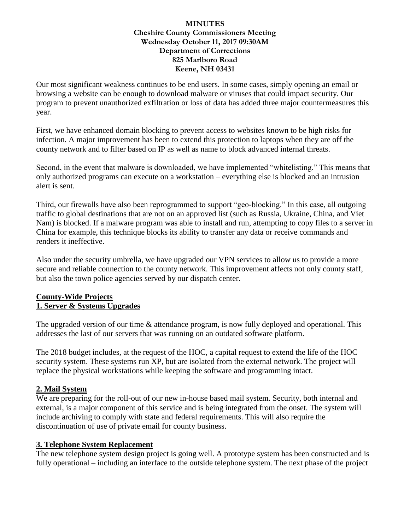Our most significant weakness continues to be end users. In some cases, simply opening an email or browsing a website can be enough to download malware or viruses that could impact security. Our program to prevent unauthorized exfiltration or loss of data has added three major countermeasures this year.

First, we have enhanced domain blocking to prevent access to websites known to be high risks for infection. A major improvement has been to extend this protection to laptops when they are off the county network and to filter based on IP as well as name to block advanced internal threats.

Second, in the event that malware is downloaded, we have implemented "whitelisting." This means that only authorized programs can execute on a workstation – everything else is blocked and an intrusion alert is sent.

Third, our firewalls have also been reprogrammed to support "geo-blocking." In this case, all outgoing traffic to global destinations that are not on an approved list (such as Russia, Ukraine, China, and Viet Nam) is blocked. If a malware program was able to install and run, attempting to copy files to a server in China for example, this technique blocks its ability to transfer any data or receive commands and renders it ineffective.

Also under the security umbrella, we have upgraded our VPN services to allow us to provide a more secure and reliable connection to the county network. This improvement affects not only county staff, but also the town police agencies served by our dispatch center.

# **County-Wide Projects 1. Server & Systems Upgrades**

The upgraded version of our time & attendance program, is now fully deployed and operational. This addresses the last of our servers that was running on an outdated software platform.

The 2018 budget includes, at the request of the HOC, a capital request to extend the life of the HOC security system. These systems run XP, but are isolated from the external network. The project will replace the physical workstations while keeping the software and programming intact.

# **2. Mail System**

We are preparing for the roll-out of our new in-house based mail system. Security, both internal and external, is a major component of this service and is being integrated from the onset. The system will include archiving to comply with state and federal requirements. This will also require the discontinuation of use of private email for county business.

# **3. Telephone System Replacement**

The new telephone system design project is going well. A prototype system has been constructed and is fully operational – including an interface to the outside telephone system. The next phase of the project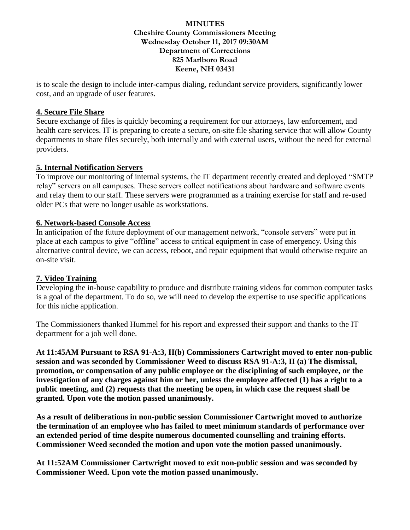is to scale the design to include inter-campus dialing, redundant service providers, significantly lower cost, and an upgrade of user features.

### **4. Secure File Share**

Secure exchange of files is quickly becoming a requirement for our attorneys, law enforcement, and health care services. IT is preparing to create a secure, on-site file sharing service that will allow County departments to share files securely, both internally and with external users, without the need for external providers.

### **5. Internal Notification Servers**

To improve our monitoring of internal systems, the IT department recently created and deployed "SMTP relay" servers on all campuses. These servers collect notifications about hardware and software events and relay them to our staff. These servers were programmed as a training exercise for staff and re-used older PCs that were no longer usable as workstations.

### **6. Network-based Console Access**

In anticipation of the future deployment of our management network, "console servers" were put in place at each campus to give "offline" access to critical equipment in case of emergency. Using this alternative control device, we can access, reboot, and repair equipment that would otherwise require an on-site visit.

# **7. Video Training**

Developing the in-house capability to produce and distribute training videos for common computer tasks is a goal of the department. To do so, we will need to develop the expertise to use specific applications for this niche application.

The Commissioners thanked Hummel for his report and expressed their support and thanks to the IT department for a job well done.

**At 11:45AM Pursuant to RSA 91-A:3, II(b) Commissioners Cartwright moved to enter non-public session and was seconded by Commissioner Weed to discuss RSA 91-A:3, II (a) The dismissal, promotion, or compensation of any public employee or the disciplining of such employee, or the investigation of any charges against him or her, unless the employee affected (1) has a right to a public meeting, and (2) requests that the meeting be open, in which case the request shall be granted. Upon vote the motion passed unanimously.** 

**As a result of deliberations in non-public session Commissioner Cartwright moved to authorize the termination of an employee who has failed to meet minimum standards of performance over an extended period of time despite numerous documented counselling and training efforts. Commissioner Weed seconded the motion and upon vote the motion passed unanimously.**

**At 11:52AM Commissioner Cartwright moved to exit non-public session and was seconded by Commissioner Weed. Upon vote the motion passed unanimously.**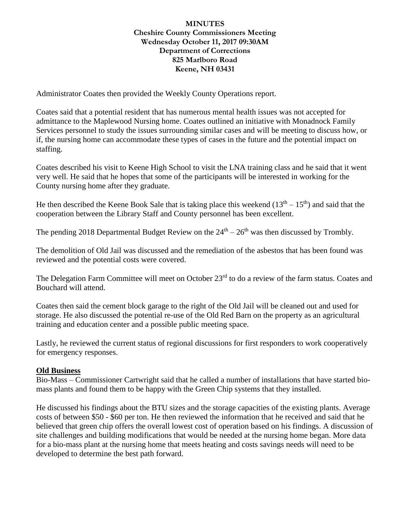Administrator Coates then provided the Weekly County Operations report.

Coates said that a potential resident that has numerous mental health issues was not accepted for admittance to the Maplewood Nursing home. Coates outlined an initiative with Monadnock Family Services personnel to study the issues surrounding similar cases and will be meeting to discuss how, or if, the nursing home can accommodate these types of cases in the future and the potential impact on staffing.

Coates described his visit to Keene High School to visit the LNA training class and he said that it went very well. He said that he hopes that some of the participants will be interested in working for the County nursing home after they graduate.

He then described the Keene Book Sale that is taking place this weekend  $(13<sup>th</sup> – 15<sup>th</sup>)$  and said that the cooperation between the Library Staff and County personnel has been excellent.

The pending 2018 Departmental Budget Review on the  $24<sup>th</sup> - 26<sup>th</sup>$  was then discussed by Trombly.

The demolition of Old Jail was discussed and the remediation of the asbestos that has been found was reviewed and the potential costs were covered.

The Delegation Farm Committee will meet on October 23<sup>rd</sup> to do a review of the farm status. Coates and Bouchard will attend.

Coates then said the cement block garage to the right of the Old Jail will be cleaned out and used for storage. He also discussed the potential re-use of the Old Red Barn on the property as an agricultural training and education center and a possible public meeting space.

Lastly, he reviewed the current status of regional discussions for first responders to work cooperatively for emergency responses.

#### **Old Business**

Bio-Mass – Commissioner Cartwright said that he called a number of installations that have started biomass plants and found them to be happy with the Green Chip systems that they installed.

He discussed his findings about the BTU sizes and the storage capacities of the existing plants. Average costs of between \$50 - \$60 per ton. He then reviewed the information that he received and said that he believed that green chip offers the overall lowest cost of operation based on his findings. A discussion of site challenges and building modifications that would be needed at the nursing home began. More data for a bio-mass plant at the nursing home that meets heating and costs savings needs will need to be developed to determine the best path forward.